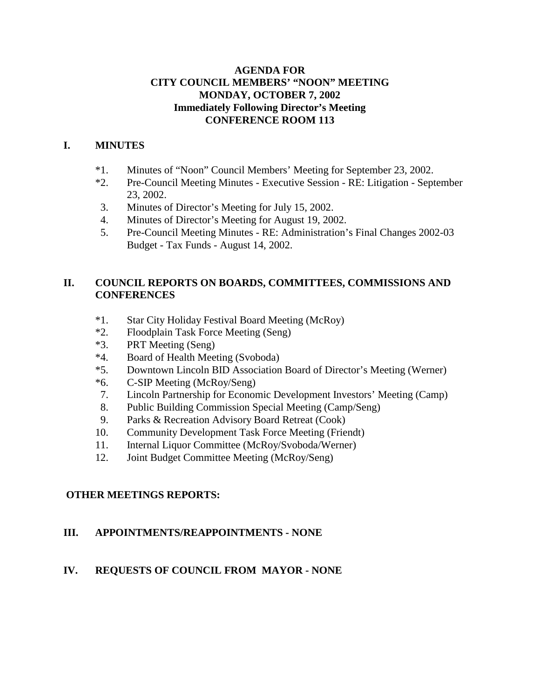## **AGENDA FOR CITY COUNCIL MEMBERS' "NOON" MEETING MONDAY, OCTOBER 7, 2002 Immediately Following Director's Meeting CONFERENCE ROOM 113**

# **I. MINUTES**

- \*1. Minutes of "Noon" Council Members' Meeting for September 23, 2002.
- \*2. Pre-Council Meeting Minutes Executive Session RE: Litigation September 23, 2002.
- 3. Minutes of Director's Meeting for July 15, 2002.
- 4. Minutes of Director's Meeting for August 19, 2002.
- 5. Pre-Council Meeting Minutes RE: Administration's Final Changes 2002-03 Budget - Tax Funds - August 14, 2002.

# **II. COUNCIL REPORTS ON BOARDS, COMMITTEES, COMMISSIONS AND CONFERENCES**

- \*1. Star City Holiday Festival Board Meeting (McRoy)
- \*2. Floodplain Task Force Meeting (Seng)
- \*3. PRT Meeting (Seng)
- \*4. Board of Health Meeting (Svoboda)
- \*5. Downtown Lincoln BID Association Board of Director's Meeting (Werner)
- \*6. C-SIP Meeting (McRoy/Seng)
- 7. Lincoln Partnership for Economic Development Investors' Meeting (Camp)
- 8. Public Building Commission Special Meeting (Camp/Seng)
- 9. Parks & Recreation Advisory Board Retreat (Cook)
- 10. Community Development Task Force Meeting (Friendt)
- 11. Internal Liquor Committee (McRoy/Svoboda/Werner)
- 12. Joint Budget Committee Meeting (McRoy/Seng)

# **OTHER MEETINGS REPORTS:**

# **III. APPOINTMENTS/REAPPOINTMENTS - NONE**

# **IV. REQUESTS OF COUNCIL FROM MAYOR - NONE**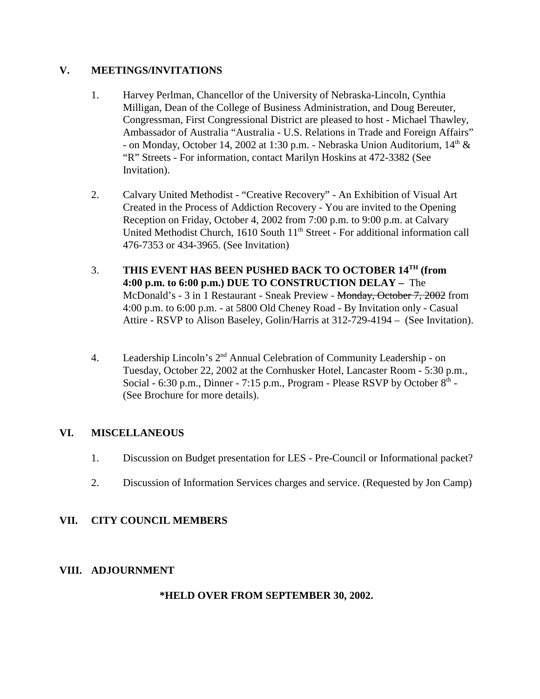## **V. MEETINGS/INVITATIONS**

- 1. Harvey Perlman, Chancellor of the University of Nebraska-Lincoln, Cynthia Milligan, Dean of the College of Business Administration, and Doug Bereuter, Congressman, First Congressional District are pleased to host - Michael Thawley, Ambassador of Australia "Australia - U.S. Relations in Trade and Foreign Affairs" - on Monday, October 14, 2002 at 1:30 p.m. - Nebraska Union Auditorium,  $14<sup>th</sup>$  & "R" Streets - For information, contact Marilyn Hoskins at 472-3382 (See Invitation).
- 2. Calvary United Methodist "Creative Recovery" An Exhibition of Visual Art Created in the Process of Addiction Recovery - You are invited to the Opening Reception on Friday, October 4, 2002 from 7:00 p.m. to 9:00 p.m. at Calvary United Methodist Church, 1610 South 11<sup>th</sup> Street - For additional information call 476-7353 or 434-3965. (See Invitation)
- 3. **THIS EVENT HAS BEEN PUSHED BACK TO OCTOBER 14TH (from 4:00 p.m. to 6:00 p.m.) DUE TO CONSTRUCTION DELAY –** The McDonald's - 3 in 1 Restaurant - Sneak Preview - <del>Monday, October 7, 2002</del> from 4:00 p.m. to 6:00 p.m. - at 5800 Old Cheney Road - By Invitation only - Casual Attire - RSVP to Alison Baseley, Golin/Harris at 312-729-4194 – (See Invitation).
- 4. Leadership Lincoln's 2nd Annual Celebration of Community Leadership on Tuesday, October 22, 2002 at the Cornhusker Hotel, Lancaster Room - 5:30 p.m., Social - 6:30 p.m., Dinner - 7:15 p.m., Program - Please RSVP by October  $8<sup>th</sup>$  -(See Brochure for more details).

### **VI. MISCELLANEOUS**

- 1. Discussion on Budget presentation for LES Pre-Council or Informational packet?
- 2. Discussion of Information Services charges and service. (Requested by Jon Camp)

## **VII. CITY COUNCIL MEMBERS**

#### **VIII. ADJOURNMENT**

#### **\*HELD OVER FROM SEPTEMBER 30, 2002.**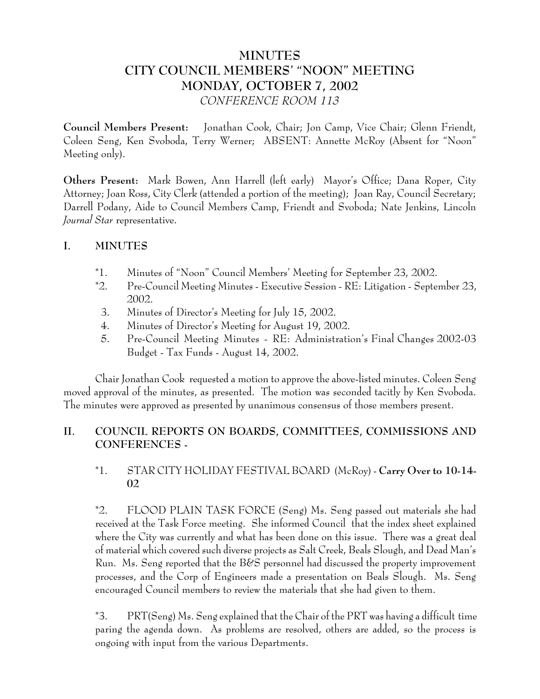# **MINUTES CITY COUNCIL MEMBERS' "NOON" MEETING MONDAY, OCTOBER 7, 2002** *CONFERENCE ROOM 113*

**Council Members Present:** Jonathan Cook, Chair; Jon Camp, Vice Chair; Glenn Friendt, Coleen Seng, Ken Svoboda, Terry Werner; ABSENT: Annette McRoy (Absent for "Noon" Meeting only).

**Others Present:** Mark Bowen, Ann Harrell (left early) Mayor's Office; Dana Roper, City Attorney; Joan Ross, City Clerk (attended a portion of the meeting); Joan Ray, Council Secretary; Darrell Podany, Aide to Council Members Camp, Friendt and Svoboda; Nate Jenkins, Lincoln *Journal Star* representative.

## **I. MINUTES**

- \*1. Minutes of "Noon" Council Members' Meeting for September 23, 2002.
- \*2. Pre-Council Meeting Minutes Executive Session RE: Litigation September 23, 2002.
- 3. Minutes of Director's Meeting for July 15, 2002.
- 4. Minutes of Director's Meeting for August 19, 2002.
- 5. Pre-Council Meeting Minutes RE: Administration's Final Changes 2002-03 Budget - Tax Funds - August 14, 2002.

Chair Jonathan Cook requested a motion to approve the above-listed minutes. Coleen Seng moved approval of the minutes, as presented. The motion was seconded tacitly by Ken Svoboda. The minutes were approved as presented by unanimous consensus of those members present.

# **II. COUNCIL REPORTS ON BOARDS, COMMITTEES, COMMISSIONS AND CONFERENCES -**

# \*1. STAR CITY HOLIDAY FESTIVAL BOARD (McRoy) - **Carry Over to 10-14- 02**

\*2. FLOOD PLAIN TASK FORCE (Seng) Ms. Seng passed out materials she had received at the Task Force meeting. She informed Council that the index sheet explained where the City was currently and what has been done on this issue. There was a great deal of material which covered such diverse projects as Salt Creek, Beals Slough, and Dead Man's Run. Ms. Seng reported that the B&S personnel had discussed the property improvement processes, and the Corp of Engineers made a presentation on Beals Slough. Ms. Seng encouraged Council members to review the materials that she had given to them.

\*3. PRT(Seng) Ms. Seng explained that the Chair of the PRT was having a difficult time paring the agenda down. As problems are resolved, others are added, so the process is ongoing with input from the various Departments.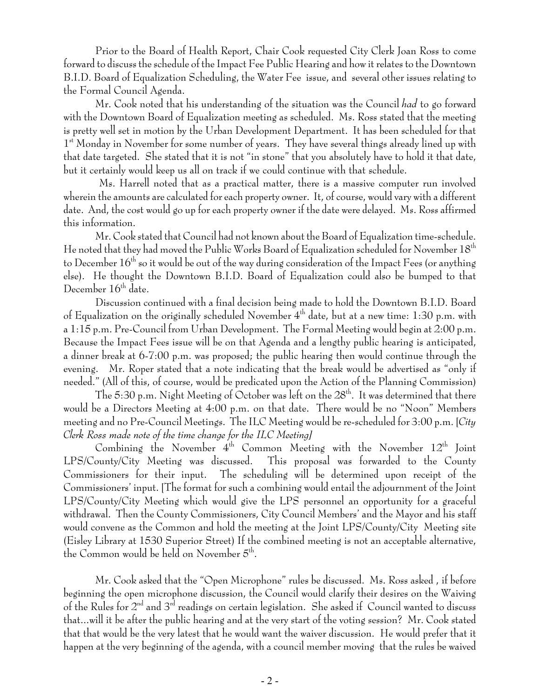Prior to the Board of Health Report, Chair Cook requested City Clerk Joan Ross to come forward to discuss the schedule of the Impact Fee Public Hearing and how it relates to the Downtown B.I.D. Board of Equalization Scheduling, the Water Fee issue, and several other issues relating to the Formal Council Agenda.

Mr. Cook noted that his understanding of the situation was the Council *had* to go forward with the Downtown Board of Equalization meeting as scheduled. Ms. Ross stated that the meeting is pretty well set in motion by the Urban Development Department. It has been scheduled for that 1<sup>st</sup> Monday in November for some number of years. They have several things already lined up with that date targeted. She stated that it is not "in stone" that you absolutely have to hold it that date, but it certainly would keep us all on track if we could continue with that schedule.

 Ms. Harrell noted that as a practical matter, there is a massive computer run involved wherein the amounts are calculated for each property owner. It, of course, would vary with a different date. And, the cost would go up for each property owner if the date were delayed. Ms. Ross affirmed this information.

Mr. Cook stated that Council had not known about the Board of Equalization time-schedule. He noted that they had moved the Public Works Board of Equalization scheduled for November 18<sup>th</sup> to December  $16<sup>th</sup>$  so it would be out of the way during consideration of the Impact Fees (or anything else). He thought the Downtown B.I.D. Board of Equalization could also be bumped to that December  $16<sup>th</sup>$  date.

Discussion continued with a final decision being made to hold the Downtown B.I.D. Board of Equalization on the originally scheduled November  $4^{\text{th}}$  date, but at a new time: 1:30 p.m. with a 1:15 p.m. Pre-Council from Urban Development. The Formal Meeting would begin at 2:00 p.m. Because the Impact Fees issue will be on that Agenda and a lengthy public hearing is anticipated, a dinner break at 6-7:00 p.m. was proposed; the public hearing then would continue through the evening. Mr. Roper stated that a note indicating that the break would be advertised as "only if needed." (All of this, of course, would be predicated upon the Action of the Planning Commission)

The 5:30 p.m. Night Meeting of October was left on the  $28<sup>th</sup>$ . It was determined that there would be a Directors Meeting at 4:00 p.m. on that date. There would be no "Noon" Members meeting and no Pre-Council Meetings. The ILC Meeting would be re-scheduled for 3:00 p.m. [*City Clerk Ross made note of the time change for the ILC Meeting]*

Combining the November  $4^{\text{th}}$  Common Meeting with the November  $12^{\text{th}}$  Joint LPS/County/City Meeting was discussed. This proposal was forwarded to the County Commissioners for their input. The scheduling will be determined upon receipt of the Commissioners' input. [The format for such a combining would entail the adjournment of the Joint LPS/County/City Meeting which would give the LPS personnel an opportunity for a graceful withdrawal. Then the County Commissioners, City Council Members' and the Mayor and his staff would convene as the Common and hold the meeting at the Joint LPS/County/City Meeting site (Eisley Library at 1530 Superior Street) If the combined meeting is not an acceptable alternative, the Common would be held on November  $5<sup>th</sup>$ .

Mr. Cook asked that the "Open Microphone" rules be discussed. Ms. Ross asked , if before beginning the open microphone discussion, the Council would clarify their desires on the Waiving of the Rules for  $2<sup>nd</sup>$  and  $3<sup>rd</sup>$  readings on certain legislation. She asked if Council wanted to discuss that...will it be after the public hearing and at the very start of the voting session? Mr. Cook stated that that would be the very latest that he would want the waiver discussion. He would prefer that it happen at the very beginning of the agenda, with a council member moving that the rules be waived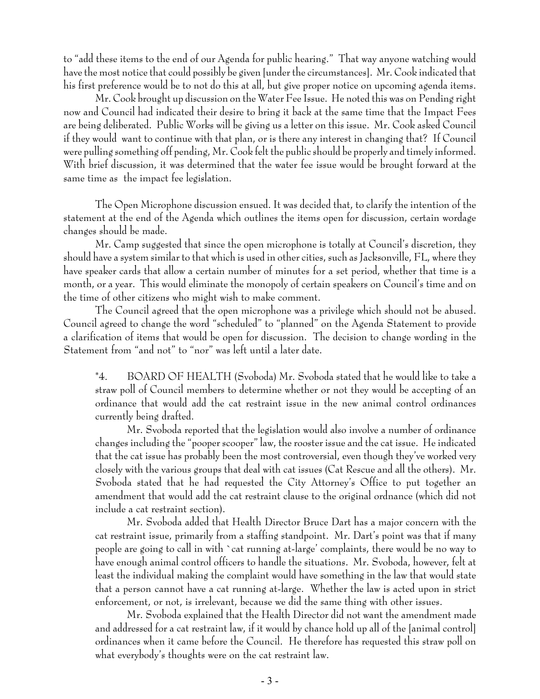to "add these items to the end of our Agenda for public hearing." That way anyone watching would have the most notice that could possibly be given [under the circumstances]. Mr. Cook indicated that his first preference would be to not do this at all, but give proper notice on upcoming agenda items.

Mr. Cook brought up discussion on the Water Fee Issue. He noted this was on Pending right now and Council had indicated their desire to bring it back at the same time that the Impact Fees are being deliberated. Public Works will be giving us a letter on this issue. Mr. Cook asked Council if they would want to continue with that plan, or is there any interest in changing that? If Council were pulling something off pending, Mr. Cook felt the public should be properly and timely informed. With brief discussion, it was determined that the water fee issue would be brought forward at the same time as the impact fee legislation.

The Open Microphone discussion ensued. It was decided that, to clarify the intention of the statement at the end of the Agenda which outlines the items open for discussion, certain wordage changes should be made.

Mr. Camp suggested that since the open microphone is totally at Council's discretion, they should have a system similar to that which is used in other cities, such as Jacksonville, FL, where they have speaker cards that allow a certain number of minutes for a set period, whether that time is a month, or a year. This would eliminate the monopoly of certain speakers on Council's time and on the time of other citizens who might wish to make comment.

The Council agreed that the open microphone was a privilege which should not be abused. Council agreed to change the word "scheduled" to "planned" on the Agenda Statement to provide a clarification of items that would be open for discussion. The decision to change wording in the Statement from "and not" to "nor" was left until a later date.

\*4. BOARD OF HEALTH (Svoboda) Mr. Svoboda stated that he would like to take a straw poll of Council members to determine whether or not they would be accepting of an ordinance that would add the cat restraint issue in the new animal control ordinances currently being drafted.

Mr. Svoboda reported that the legislation would also involve a number of ordinance changes including the "pooper scooper" law, the rooster issue and the cat issue. He indicated that the cat issue has probably been the most controversial, even though they've worked very closely with the various groups that deal with cat issues (Cat Rescue and all the others). Mr. Svoboda stated that he had requested the City Attorney's Office to put together an amendment that would add the cat restraint clause to the original ordnance (which did not include a cat restraint section).

Mr. Svoboda added that Health Director Bruce Dart has a major concern with the cat restraint issue, primarily from a staffing standpoint. Mr. Dart's point was that if many people are going to call in with `cat running at-large' complaints, there would be no way to have enough animal control officers to handle the situations. Mr. Svoboda, however, felt at least the individual making the complaint would have something in the law that would state that a person cannot have a cat running at-large. Whether the law is acted upon in strict enforcement, or not, is irrelevant, because we did the same thing with other issues.

Mr. Svoboda explained that the Health Director did not want the amendment made and addressed for a cat restraint law, if it would by chance hold up all of the [animal control] ordinances when it came before the Council. He therefore has requested this straw poll on what everybody's thoughts were on the cat restraint law.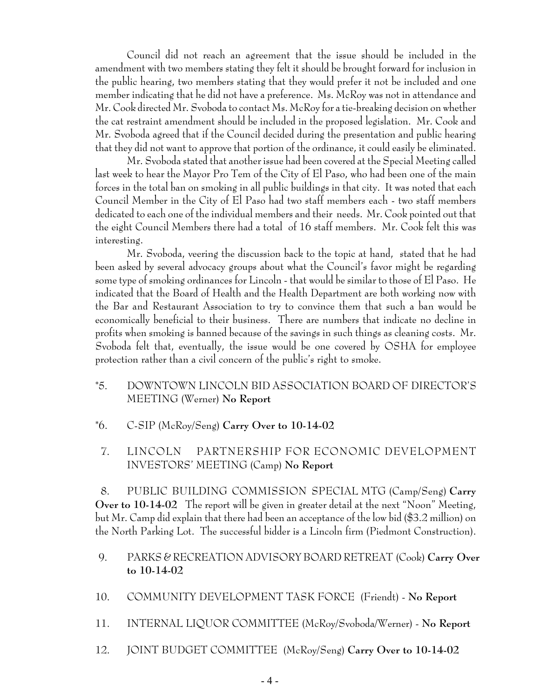Council did not reach an agreement that the issue should be included in the amendment with two members stating they felt it should be brought forward for inclusion in the public hearing, two members stating that they would prefer it not be included and one member indicating that he did not have a preference. Ms. McRoy was not in attendance and Mr. Cook directed Mr. Svoboda to contact Ms. McRoy for a tie-breaking decision on whether the cat restraint amendment should be included in the proposed legislation. Mr. Cook and Mr. Svoboda agreed that if the Council decided during the presentation and public hearing that they did not want to approve that portion of the ordinance, it could easily be eliminated.

Mr. Svoboda stated that another issue had been covered at the Special Meeting called last week to hear the Mayor Pro Tem of the City of El Paso, who had been one of the main forces in the total ban on smoking in all public buildings in that city. It was noted that each Council Member in the City of El Paso had two staff members each - two staff members dedicated to each one of the individual members and their needs. Mr. Cook pointed out that the eight Council Members there had a total of 16 staff members. Mr. Cook felt this was interesting.

Mr. Svoboda, veering the discussion back to the topic at hand, stated that he had been asked by several advocacy groups about what the Council's favor might be regarding some type of smoking ordinances for Lincoln - that would be similar to those of El Paso. He indicated that the Board of Health and the Health Department are both working now with the Bar and Restaurant Association to try to convince them that such a ban would be economically beneficial to their business. There are numbers that indicate no decline in profits when smoking is banned because of the savings in such things as cleaning costs. Mr. Svoboda felt that, eventually, the issue would be one covered by OSHA for employee protection rather than a civil concern of the public's right to smoke.

- \*5. DOWNTOWN LINCOLN BID ASSOCIATION BOARD OF DIRECTOR'S MEETING (Werner) **No Report**
- \*6. C-SIP (McRoy/Seng) **Carry Over to 10-14-02**
- 7. LINCOLN PARTNERSHIP FOR ECONOMIC DEVELOPMENT INVESTORS' MEETING (Camp) **No Report**

 8. PUBLIC BUILDING COMMISSION SPECIAL MTG (Camp/Seng) **Carry Over to 10-14-02** The report will be given in greater detail at the next "Noon" Meeting, but Mr. Camp did explain that there had been an acceptance of the low bid (\$3.2 million) on the North Parking Lot. The successful bidder is a Lincoln firm (Piedmont Construction).

- 9. PARKS & RECREATION ADVISORY BOARD RETREAT (Cook) **Carry Over to 10-14-02**
- 10. COMMUNITY DEVELOPMENT TASK FORCE (Friendt) **No Report**
- 11. INTERNAL LIQUOR COMMITTEE (McRoy/Svoboda/Werner) **No Report**
- 12. JOINT BUDGET COMMITTEE (McRoy/Seng) **Carry Over to 10-14-02**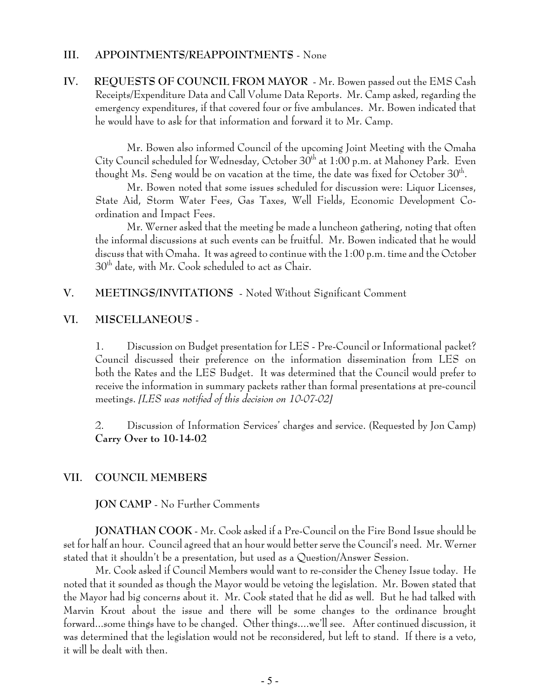#### **III. APPOINTMENTS/REAPPOINTMENTS** - None

**IV. REQUESTS OF COUNCIL FROM MAYOR** - Mr. Bowen passed out the EMS Cash Receipts/Expenditure Data and Call Volume Data Reports. Mr. Camp asked, regarding the emergency expenditures, if that covered four or five ambulances. Mr. Bowen indicated that he would have to ask for that information and forward it to Mr. Camp.

Mr. Bowen also informed Council of the upcoming Joint Meeting with the Omaha City Council scheduled for Wednesday, October 30<sup>th</sup> at 1:00 p.m. at Mahoney Park. Even thought Ms. Seng would be on vacation at the time, the date was fixed for October  $30^{\text{th}}$ .

Mr. Bowen noted that some issues scheduled for discussion were: Liquor Licenses, State Aid, Storm Water Fees, Gas Taxes, Well Fields, Economic Development Coordination and Impact Fees.

Mr. Werner asked that the meeting be made a luncheon gathering, noting that often the informal discussions at such events can be fruitful. Mr. Bowen indicated that he would discuss that with Omaha. It was agreed to continue with the 1:00 p.m. time and the October 30th date, with Mr. Cook scheduled to act as Chair.

## **V. MEETINGS/INVITATIONS** - Noted Without Significant Comment

#### **VI. MISCELLANEOUS** -

1. Discussion on Budget presentation for LES - Pre-Council or Informational packet? Council discussed their preference on the information dissemination from LES on both the Rates and the LES Budget. It was determined that the Council would prefer to receive the information in summary packets rather than formal presentations at pre-council meetings. *[LES was notified of this decision on 10-07-02]*

2. Discussion of Information Services' charges and service. (Requested by Jon Camp) **Carry Over to 10-14-02** 

#### **VII. COUNCIL MEMBERS**

**JON CAMP** - No Further Comments

**JONATHAN COOK** - Mr. Cook asked if a Pre-Council on the Fire Bond Issue should be set for half an hour. Council agreed that an hour would better serve the Council's need. Mr. Werner stated that it shouldn't be a presentation, but used as a Question/Answer Session.

Mr. Cook asked if Council Members would want to re-consider the Cheney Issue today. He noted that it sounded as though the Mayor would be vetoing the legislation. Mr. Bowen stated that the Mayor had big concerns about it. Mr. Cook stated that he did as well. But he had talked with Marvin Krout about the issue and there will be some changes to the ordinance brought forward...some things have to be changed. Other things....we'll see. After continued discussion, it was determined that the legislation would not be reconsidered, but left to stand. If there is a veto, it will be dealt with then.